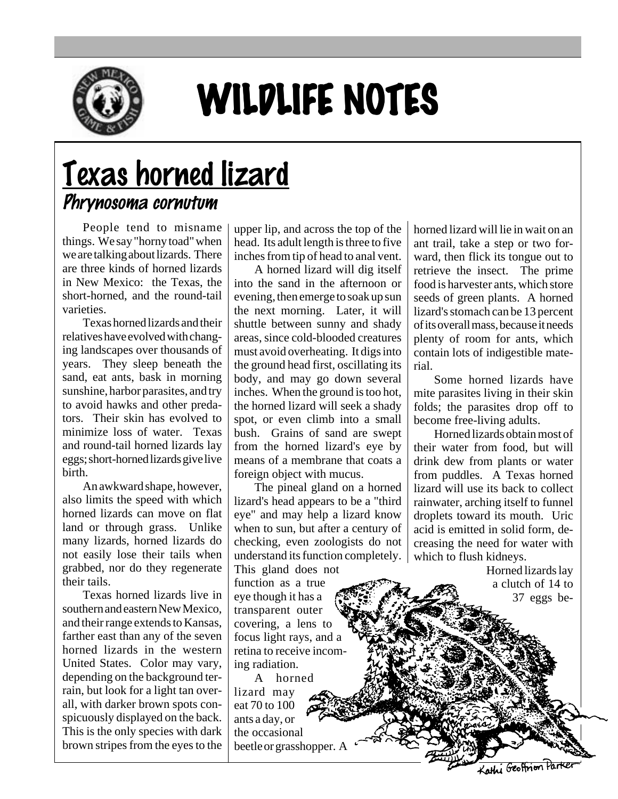

## WILDLIFE NOTES

## Texas horned lizard Phrynosoma cornutum

People tend to misname things. We say "horny toad" when we are talking about lizards. There are three kinds of horned lizards in New Mexico: the Texas, the short-horned, and the round-tail varieties.

Texas horned lizards and their relatives have evolved with changing landscapes over thousands of years. They sleep beneath the sand, eat ants, bask in morning sunshine, harbor parasites, and try to avoid hawks and other predators. Their skin has evolved to minimize loss of water. Texas and round-tail horned lizards lay eggs; short-horned lizards give live birth.

An awkward shape, however, also limits the speed with which horned lizards can move on flat land or through grass. Unlike many lizards, horned lizards do not easily lose their tails when grabbed, nor do they regenerate their tails.

Texas horned lizards live in southern and eastern New Mexico, and their range extends to Kansas, farther east than any of the seven horned lizards in the western United States. Color may vary, depending on the background terrain, but look for a light tan overall, with darker brown spots conspicuously displayed on the back. This is the only species with dark brown stripes from the eyes to the

upper lip, and across the top of the head. Its adult length is three to five inches from tip of head to anal vent.

A horned lizard will dig itself into the sand in the afternoon or evening, then emerge to soak up sun the next morning. Later, it will shuttle between sunny and shady areas, since cold-blooded creatures must avoid overheating. It digs into the ground head first, oscillating its body, and may go down several inches. When the ground is too hot, the horned lizard will seek a shady spot, or even climb into a small bush. Grains of sand are swept from the horned lizard's eye by means of a membrane that coats a foreign object with mucus.

The pineal gland on a horned lizard's head appears to be a "third eye" and may help a lizard know when to sun, but after a century of checking, even zoologists do not understand its function completely.

This gland does not function as a true eye though it has a transparent outer covering, a lens to focus light rays, and a retina to receive incoming radiation.

A horned lizard may eat 70 to 100 ants a day, or the occasional beetle or grasshopper. A horned lizard will lie in wait on an ant trail, take a step or two forward, then flick its tongue out to retrieve the insect. The prime food is harvester ants, which store seeds of green plants. A horned lizard's stomach can be 13 percent of its overall mass, because it needs plenty of room for ants, which contain lots of indigestible material.

Some horned lizards have mite parasites living in their skin folds; the parasites drop off to become free-living adults.

Horned lizards obtain most of their water from food, but will drink dew from plants or water from puddles. A Texas horned lizard will use its back to collect rainwater, arching itself to funnel droplets toward its mouth. Uric acid is emitted in solid form, decreasing the need for water with which to flush kidneys.

Horned lizards lay a clutch of 14 to 37 eggs be-

Kathi Geoffrion Par